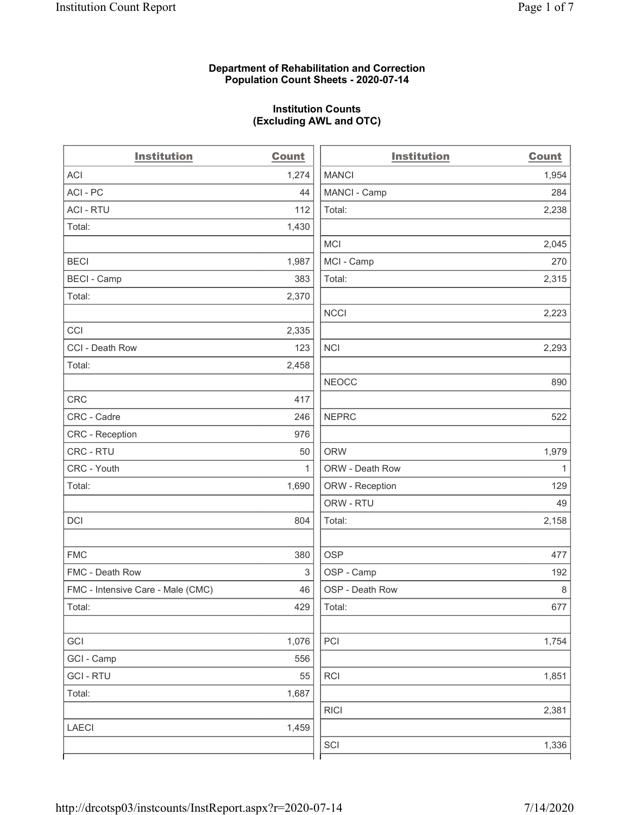#### Department of Rehabilitation and Correction Population Count Sheets - 2020-07-14

# Institution Counts (Excluding AWL and OTC)

| <b>Institution</b>                | <b>Count</b> | <b>Institution</b> | <b>Count</b> |
|-----------------------------------|--------------|--------------------|--------------|
| <b>ACI</b>                        | 1,274        | <b>MANCI</b>       | 1,954        |
| ACI-PC                            | 44           | MANCI - Camp       | 284          |
| <b>ACI - RTU</b>                  | 112          | Total:             | 2,238        |
| Total:                            | 1,430        |                    |              |
|                                   |              | <b>MCI</b>         | 2,045        |
| <b>BECI</b>                       | 1,987        | MCI - Camp         | 270          |
| <b>BECI - Camp</b>                | 383          | Total:             | 2,315        |
| Total:                            | 2,370        |                    |              |
|                                   |              | <b>NCCI</b>        | 2,223        |
| CCI                               | 2,335        |                    |              |
| CCI - Death Row                   | 123          | <b>NCI</b>         | 2,293        |
| Total:                            | 2,458        |                    |              |
|                                   |              | <b>NEOCC</b>       | 890          |
| <b>CRC</b>                        | 417          |                    |              |
| CRC - Cadre                       | 246          | <b>NEPRC</b>       | 522          |
| CRC - Reception                   | 976          |                    |              |
| CRC - RTU                         | 50           | <b>ORW</b>         | 1,979        |
| CRC - Youth                       | 1            | ORW - Death Row    | 1            |
| Total:                            | 1,690        | ORW - Reception    | 129          |
|                                   |              | ORW - RTU          | 49           |
| DCI                               | 804          | Total:             | 2,158        |
|                                   |              |                    |              |
| <b>FMC</b>                        | 380          | <b>OSP</b>         | 477          |
| FMC - Death Row                   | 3            | OSP - Camp         | 192          |
| FMC - Intensive Care - Male (CMC) | 46           | OSP - Death Row    | 8            |
| Total:                            | 429          | Total:             | 677          |
|                                   |              |                    |              |
| GCI                               | 1,076        | PCI                | 1,754        |
| GCI - Camp                        | 556          |                    |              |
| <b>GCI-RTU</b>                    | 55           | <b>RCI</b>         | 1,851        |
| Total:                            | 1,687        |                    |              |
|                                   |              | R C                | 2,381        |
| <b>LAECI</b>                      | 1,459        |                    |              |
|                                   |              | SCI                | 1,336        |
|                                   |              |                    |              |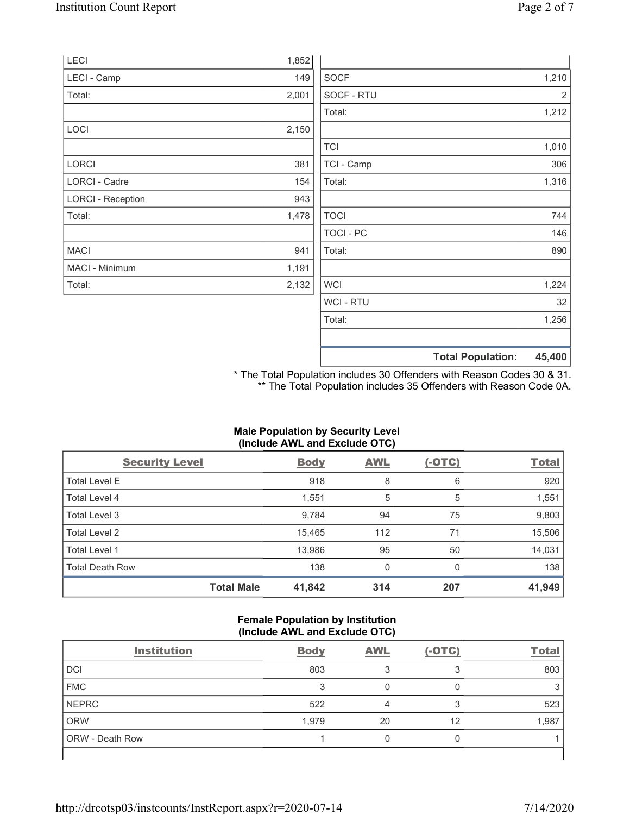|                          |       |                  | <b>Total Population:</b> | 45,400 |
|--------------------------|-------|------------------|--------------------------|--------|
|                          |       |                  |                          |        |
|                          |       | Total:           |                          | 1,256  |
|                          |       | WCI - RTU        |                          | 32     |
| Total:                   | 2,132 | <b>WCI</b>       |                          | 1,224  |
| MACI - Minimum           | 1,191 |                  |                          |        |
| <b>MACI</b>              | 941   | Total:           |                          | 890    |
|                          |       | <b>TOCI - PC</b> |                          | 146    |
| Total:                   | 1,478 | <b>TOCI</b>      |                          | 744    |
| <b>LORCI - Reception</b> | 943   |                  |                          |        |
| <b>LORCI - Cadre</b>     | 154   | Total:           |                          | 1,316  |
| LORCI                    | 381   | TCI - Camp       |                          | 306    |
|                          |       | <b>TCI</b>       |                          | 1,010  |
| LOCI                     | 2,150 |                  |                          |        |
|                          |       | Total:           |                          | 1,212  |
| Total:                   | 2,001 | SOCF - RTU       |                          | 2      |
| LECI - Camp              | 149   | <b>SOCF</b>      |                          | 1,210  |
| <b>LECI</b>              | 1,852 |                  |                          |        |

\* The Total Population includes 30 Offenders with Reason Codes 30 & 31. \*\* The Total Population includes 35 Offenders with Reason Code 0A.

#### Male Population by Security Level (Include AWL and Exclude OTC)

| <b>Security Level</b>  | <b>Body</b>                 | <b>AWL</b> | $(-OTC)$ | <b>Total</b> |
|------------------------|-----------------------------|------------|----------|--------------|
| <b>Total Level E</b>   | 918                         | 8          | 6        | 920          |
| Total Level 4          | 1,551                       | 5          | 5        | 1,551        |
| Total Level 3          | 9,784                       | 94         | 75       | 9,803        |
| Total Level 2          | 15,465                      | 112        | 71       | 15,506       |
| Total Level 1          | 13,986                      | 95         | 50       | 14,031       |
| <b>Total Death Row</b> | 138                         | 0          | $\Omega$ | 138          |
|                        | <b>Total Male</b><br>41,842 | 314        | 207      | 41,949       |

#### Female Population by Institution (Include AWL and Exclude OTC)

| <b>Institution</b> | <b>Body</b> | <b>AWL</b> | $(-OTC)$ | <b>Total</b> |
|--------------------|-------------|------------|----------|--------------|
| <b>DCI</b>         | 803         |            |          | 803          |
| <b>FMC</b>         |             |            |          |              |
| NEPRC              | 522         |            |          | 523          |
| ORW                | 1,979       | 20         | 12       | 1,987        |
| ORW - Death Row    |             |            |          |              |
|                    |             |            |          |              |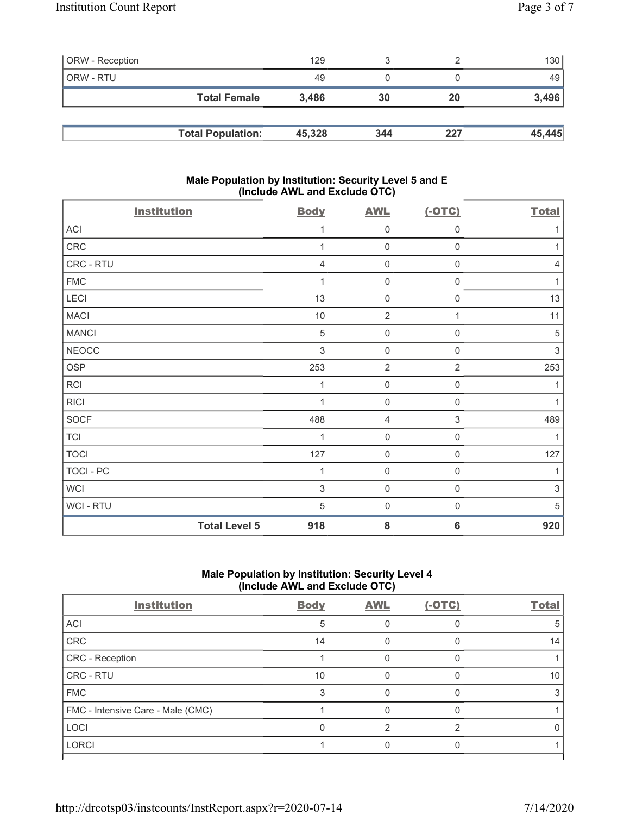| ORW - Reception |                          | 129    |     |     | 130 <sub>l</sub> |
|-----------------|--------------------------|--------|-----|-----|------------------|
| ORW - RTU       |                          | 49     |     |     | 49               |
|                 | <b>Total Female</b>      | 3,486  | 30  | 20  | 3,496            |
|                 |                          |        |     |     |                  |
|                 | <b>Total Population:</b> | 45,328 | 344 | 227 | 45,445           |

#### Male Population by Institution: Security Level 5 and E (Include AWL and Exclude OTC)

| <b>Institution</b>   | <b>Body</b>               | <b>AWL</b>          | $(-OTC)$                  | <b>Total</b> |
|----------------------|---------------------------|---------------------|---------------------------|--------------|
| ACI                  | 1                         | $\mathsf 0$         | $\mathbf 0$               |              |
| CRC                  | 1                         | 0                   | $\mathbf 0$               | 1            |
| CRC - RTU            | 4                         | 0                   | $\mathbf 0$               | 4            |
| <b>FMC</b>           | 1                         | $\mathsf 0$         | $\boldsymbol{0}$          |              |
| LECI                 | 13                        | $\boldsymbol{0}$    | $\boldsymbol{0}$          | 13           |
| <b>MACI</b>          | 10                        | $\sqrt{2}$          | 1                         | 11           |
| <b>MANCI</b>         | $\sqrt{5}$                | $\mathsf{O}\xspace$ | $\mathbf 0$               | 5            |
| <b>NEOCC</b>         | $\ensuremath{\mathsf{3}}$ | $\mathsf 0$         | $\mathbf 0$               | $\sqrt{3}$   |
| <b>OSP</b>           | 253                       | $\overline{2}$      | $\sqrt{2}$                | 253          |
| RCI                  | 1                         | 0                   | $\mathbf 0$               |              |
| <b>RICI</b>          | 1                         | $\mathsf 0$         | $\boldsymbol{0}$          |              |
| SOCF                 | 488                       | 4                   | $\ensuremath{\mathsf{3}}$ | 489          |
| <b>TCI</b>           | 1                         | $\boldsymbol{0}$    | $\mathbf 0$               |              |
| <b>TOCI</b>          | 127                       | $\mathsf 0$         | $\mathbf 0$               | 127          |
| <b>TOCI - PC</b>     | 1                         | 0                   | $\mathbf 0$               | 1            |
| <b>WCI</b>           | $\sqrt{3}$                | $\mathsf 0$         | $\boldsymbol{0}$          | $\sqrt{3}$   |
| WCI - RTU            | 5                         | $\mathbf 0$         | $\mathbf 0$               | 5            |
| <b>Total Level 5</b> | 918                       | 8                   | $6\phantom{1}6$           | 920          |

## Male Population by Institution: Security Level 4 (Include AWL and Exclude OTC)

| <b>Institution</b>                | <b>Body</b> | <b>AWL</b> | $(-OTC)$ | <b>Total</b> |
|-----------------------------------|-------------|------------|----------|--------------|
| ACI                               | 5           |            |          |              |
| CRC                               | 14          |            |          | 14           |
| CRC - Reception                   |             |            |          |              |
| CRC - RTU                         | 10          |            |          | 10           |
| <b>FMC</b>                        |             |            |          |              |
| FMC - Intensive Care - Male (CMC) |             |            |          |              |
| LOCI                              |             |            | ⌒        |              |
| <b>LORCI</b>                      |             |            |          |              |
|                                   |             |            |          |              |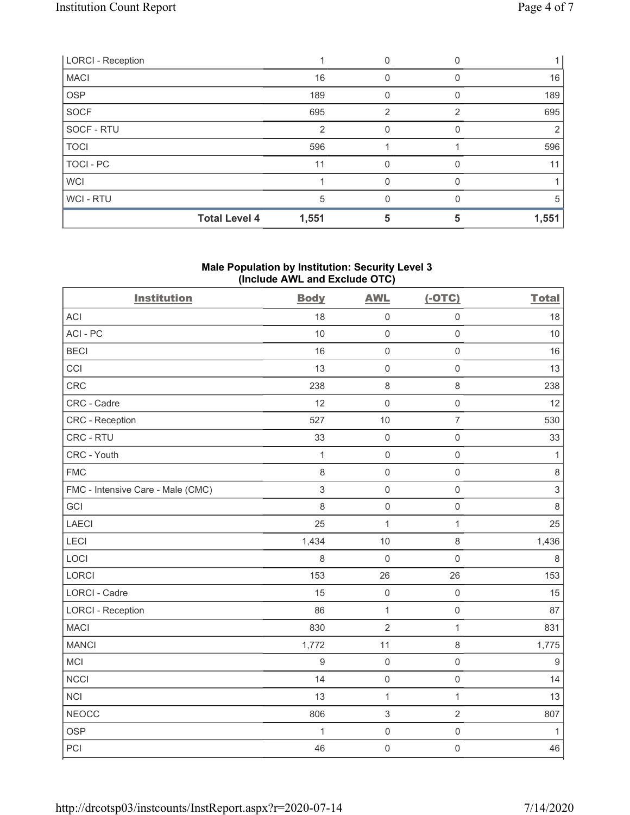| <b>LORCI - Reception</b> |       |   |   |       |
|--------------------------|-------|---|---|-------|
| <b>MACI</b>              | 16    |   |   | 16    |
| <b>OSP</b>               | 189   |   |   | 189   |
| SOCF                     | 695   | 2 | 2 | 695   |
| SOCF - RTU               | 2     |   |   |       |
| <b>TOCI</b>              | 596   |   |   | 596   |
| <b>TOCI - PC</b>         | 11    |   |   |       |
| <b>WCI</b>               |       |   |   |       |
| WCI - RTU                | 5     | U | n |       |
| <b>Total Level 4</b>     | 1,551 |   |   | 1,551 |

#### Male Population by Institution: Security Level 3 (Include AWL and Exclude OTC)

| <b>Institution</b>                | <b>Body</b>      | <b>AWL</b>          | $(-OTC)$            | <b>Total</b>   |
|-----------------------------------|------------------|---------------------|---------------------|----------------|
| <b>ACI</b>                        | 18               | $\mathsf 0$         | $\mathbf 0$         | 18             |
| ACI-PC                            | 10               | $\mathsf{O}\xspace$ | $\mathbf 0$         | 10             |
| <b>BECI</b>                       | 16               | $\mathsf{O}\xspace$ | $\mathbf 0$         | 16             |
| CCI                               | 13               | $\mathsf{O}\xspace$ | $\mathbf 0$         | 13             |
| CRC                               | 238              | $\,8\,$             | $\,8\,$             | 238            |
| CRC - Cadre                       | 12               | $\mathsf{O}\xspace$ | $\mathbf 0$         | 12             |
| <b>CRC</b> - Reception            | 527              | 10                  | $\overline{7}$      | 530            |
| CRC - RTU                         | 33               | $\mathsf 0$         | $\mathbf 0$         | 33             |
| CRC - Youth                       | $\mathbf{1}$     | $\mathsf 0$         | $\mathbf 0$         | $\mathbf{1}$   |
| <b>FMC</b>                        | 8                | $\mathsf{O}\xspace$ | $\mathbf 0$         | $\,8\,$        |
| FMC - Intensive Care - Male (CMC) | $\sqrt{3}$       | $\mathsf 0$         | $\mathbf 0$         | $\mathfrak{S}$ |
| GCI                               | 8                | $\mathbf 0$         | $\mathbf 0$         | 8              |
| LAECI                             | 25               | $\mathbf{1}$        | $\mathbf{1}$        | 25             |
| LECI                              | 1,434            | 10                  | $\,8\,$             | 1,436          |
| LOCI                              | $\,8\,$          | $\mathsf 0$         | $\mathbf 0$         | $\,8\,$        |
| LORCI                             | 153              | 26                  | 26                  | 153            |
| LORCI - Cadre                     | 15               | $\mathsf{O}\xspace$ | $\mathbf 0$         | 15             |
| <b>LORCI - Reception</b>          | 86               | $\mathbf{1}$        | $\mathbf 0$         | 87             |
| <b>MACI</b>                       | 830              | $\overline{2}$      | $\mathbf{1}$        | 831            |
| <b>MANCI</b>                      | 1,772            | 11                  | $\,8\,$             | 1,775          |
| MCI                               | $\boldsymbol{9}$ | $\mathsf{O}\xspace$ | $\mathbf 0$         | $\overline{9}$ |
| <b>NCCI</b>                       | 14               | $\mathsf 0$         | $\mathbf 0$         | 14             |
| <b>NCI</b>                        | 13               | $\mathbf{1}$        | $\mathbf{1}$        | 13             |
| <b>NEOCC</b>                      | 806              | $\sqrt{3}$          | $\overline{2}$      | 807            |
| <b>OSP</b>                        | $\mathbf{1}$     | $\mathsf{O}\xspace$ | $\mathsf{O}\xspace$ | $\mathbf{1}$   |
| PCI                               | 46               | $\mathsf 0$         | $\mathbf 0$         | 46             |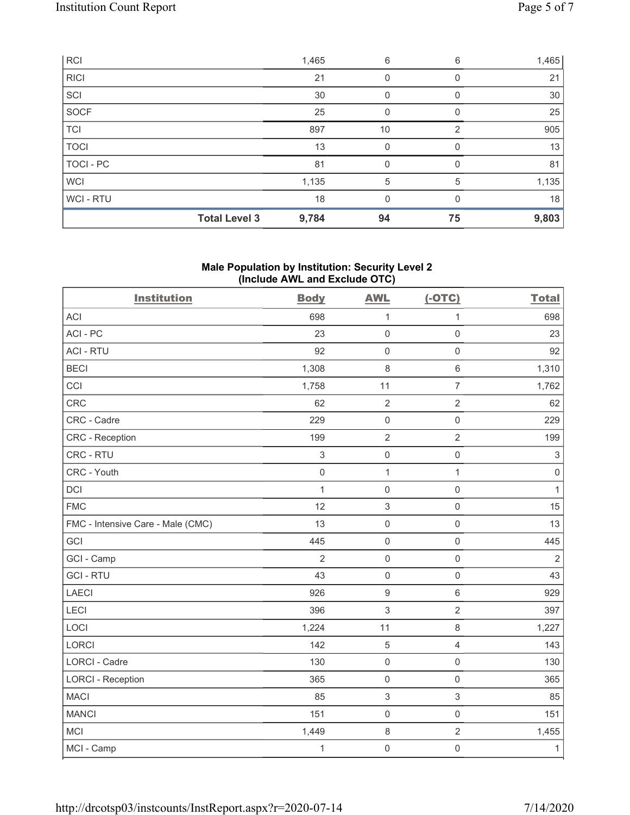| WCI-RTU     | 18    | 0  | 0 | 18    |
|-------------|-------|----|---|-------|
| WCI         | 1,135 | 5  | 5 | 1,135 |
| TOCI - PC   | 81    | 0  |   | 81    |
| <b>TOCI</b> | 13    | 0  | O | 13    |
| TCI         | 897   | 10 | 2 | 905   |
| SOCF        | 25    | U  |   | 25    |
| SCI         | 30    | 0  |   | 30    |
| RICI        | 21    | 0  |   | 21    |
| <b>RCI</b>  | 1,465 | 6  | 6 | 1,465 |

#### Male Population by Institution: Security Level 2 (Include AWL and Exclude OTC)

| <b>Institution</b>                | <b>Body</b>               | <b>AWL</b>          | $(-OTC)$       | <b>Total</b>   |
|-----------------------------------|---------------------------|---------------------|----------------|----------------|
| <b>ACI</b>                        | 698                       | $\mathbf{1}$        | $\mathbf{1}$   | 698            |
| ACI-PC                            | 23                        | $\mathsf 0$         | $\mathbf 0$    | 23             |
| <b>ACI - RTU</b>                  | 92                        | $\mathsf 0$         | $\mathbf 0$    | 92             |
| <b>BECI</b>                       | 1,308                     | 8                   | $\,6\,$        | 1,310          |
| CCI                               | 1,758                     | 11                  | $\overline{7}$ | 1,762          |
| CRC                               | 62                        | $\overline{2}$      | $\sqrt{2}$     | 62             |
| CRC - Cadre                       | 229                       | $\mathsf{O}\xspace$ | $\mathbf 0$    | 229            |
| <b>CRC</b> - Reception            | 199                       | $\overline{2}$      | $\overline{2}$ | 199            |
| CRC - RTU                         | $\ensuremath{\mathsf{3}}$ | $\mathsf{O}\xspace$ | $\mathbf 0$    | $\mathfrak{S}$ |
| CRC - Youth                       | $\mathbf 0$               | $\mathbf{1}$        | $\mathbf{1}$   | $\mathbf 0$    |
| DCI                               | $\mathbf{1}$              | $\mathsf 0$         | $\mathbf 0$    | $\mathbf{1}$   |
| <b>FMC</b>                        | 12                        | 3                   | $\mathbf 0$    | 15             |
| FMC - Intensive Care - Male (CMC) | 13                        | $\mathsf 0$         | $\mathbf 0$    | 13             |
| GCI                               | 445                       | $\mathsf 0$         | $\mathbf 0$    | 445            |
| GCI - Camp                        | $\overline{2}$            | $\mathbf 0$         | $\mathbf 0$    | $\overline{2}$ |
| <b>GCI-RTU</b>                    | 43                        | $\mathbf 0$         | $\mathbf 0$    | 43             |
| <b>LAECI</b>                      | 926                       | $\boldsymbol{9}$    | $\,6\,$        | 929            |
| LECI                              | 396                       | 3                   | $\overline{2}$ | 397            |
| LOCI                              | 1,224                     | 11                  | $\,8\,$        | 1,227          |
| LORCI                             | 142                       | $\sqrt{5}$          | $\overline{4}$ | 143            |
| <b>LORCI - Cadre</b>              | 130                       | $\mathsf{O}\xspace$ | $\mathbf 0$    | 130            |
| <b>LORCI - Reception</b>          | 365                       | $\mathsf{O}\xspace$ | $\mathbf 0$    | 365            |
| <b>MACI</b>                       | 85                        | 3                   | $\sqrt{3}$     | 85             |
| <b>MANCI</b>                      | 151                       | $\mathsf 0$         | $\mathbf 0$    | 151            |
| <b>MCI</b>                        | 1,449                     | $\,8\,$             | $\sqrt{2}$     | 1,455          |
| MCI - Camp                        | 1                         | $\mathsf 0$         | $\mathbf 0$    | $\mathbf{1}$   |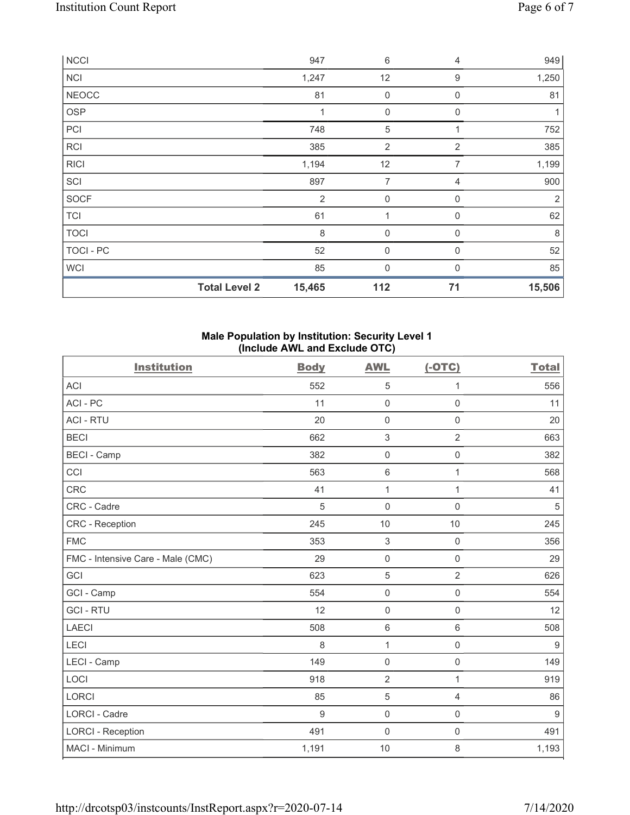| <b>NCCI</b>          | 947            | $\,6\,$          | $\overline{4}$ | 949            |
|----------------------|----------------|------------------|----------------|----------------|
| <b>NCI</b>           | 1,247          | 12               | 9              | 1,250          |
| <b>NEOCC</b>         | 81             | $\boldsymbol{0}$ | $\mathbf 0$    | 81             |
| <b>OSP</b>           | 1              | $\mathbf 0$      | 0              |                |
| PCI                  | 748            | 5                | 1              | 752            |
| <b>RCI</b>           | 385            | $\overline{2}$   | $\overline{2}$ | 385            |
| <b>RICI</b>          | 1,194          | 12               | 7              | 1,199          |
| SCI                  | 897            | 7                | $\overline{4}$ | 900            |
| SOCF                 | $\overline{2}$ | 0                | $\mathbf 0$    | $\overline{2}$ |
| <b>TCI</b>           | 61             |                  | 0              | 62             |
| <b>TOCI</b>          | 8              | $\mathbf 0$      | 0              | 8              |
| TOCI - PC            | 52             | 0                | $\mathbf 0$    | 52             |
| <b>WCI</b>           | 85             | 0                | 0              | 85             |
| <b>Total Level 2</b> | 15,465         | 112              | 71             | 15,506         |

### Male Population by Institution: Security Level 1 (Include AWL and Exclude OTC)

| <b>Institution</b>                | <b>Body</b> | <b>AWL</b>                | $(-OTC)$       | <b>Total</b>   |
|-----------------------------------|-------------|---------------------------|----------------|----------------|
| <b>ACI</b>                        | 552         | 5                         | 1              | 556            |
| ACI-PC                            | 11          | $\mathbf 0$               | $\mathbf 0$    | 11             |
| <b>ACI - RTU</b>                  | 20          | $\mathbf 0$               | $\mathbf 0$    | 20             |
| <b>BECI</b>                       | 662         | $\ensuremath{\mathsf{3}}$ | $\overline{2}$ | 663            |
| <b>BECI - Camp</b>                | 382         | $\mathsf{O}\xspace$       | $\mathbf 0$    | 382            |
| CCI                               | 563         | $\,6\,$                   | $\mathbf{1}$   | 568            |
| CRC                               | 41          | $\mathbf 1$               | $\mathbf{1}$   | 41             |
| CRC - Cadre                       | 5           | $\mathbf 0$               | $\mathbf 0$    | 5              |
| CRC - Reception                   | 245         | 10                        | 10             | 245            |
| <b>FMC</b>                        | 353         | $\,$ 3 $\,$               | $\mathbf 0$    | 356            |
| FMC - Intensive Care - Male (CMC) | 29          | $\mathsf 0$               | $\mathbf 0$    | 29             |
| GCI                               | 623         | $\mathbf 5$               | $\overline{2}$ | 626            |
| GCI - Camp                        | 554         | $\mathsf 0$               | $\mathbf 0$    | 554            |
| <b>GCI-RTU</b>                    | 12          | $\mathbf 0$               | 0              | 12             |
| <b>LAECI</b>                      | 508         | 6                         | $6\,$          | 508            |
| LECI                              | 8           | $\mathbf{1}$              | $\mathbf 0$    | $9$            |
| LECI - Camp                       | 149         | $\mathbf 0$               | $\mathbf 0$    | 149            |
| LOCI                              | 918         | $\overline{2}$            | $\mathbf{1}$   | 919            |
| LORCI                             | 85          | $\sqrt{5}$                | 4              | 86             |
| <b>LORCI - Cadre</b>              | 9           | $\mathbf 0$               | $\mathbf 0$    | $\overline{9}$ |
| <b>LORCI - Reception</b>          | 491         | $\mathbf 0$               | $\mathbf 0$    | 491            |
| MACI - Minimum                    | 1,191       | 10                        | 8              | 1,193          |